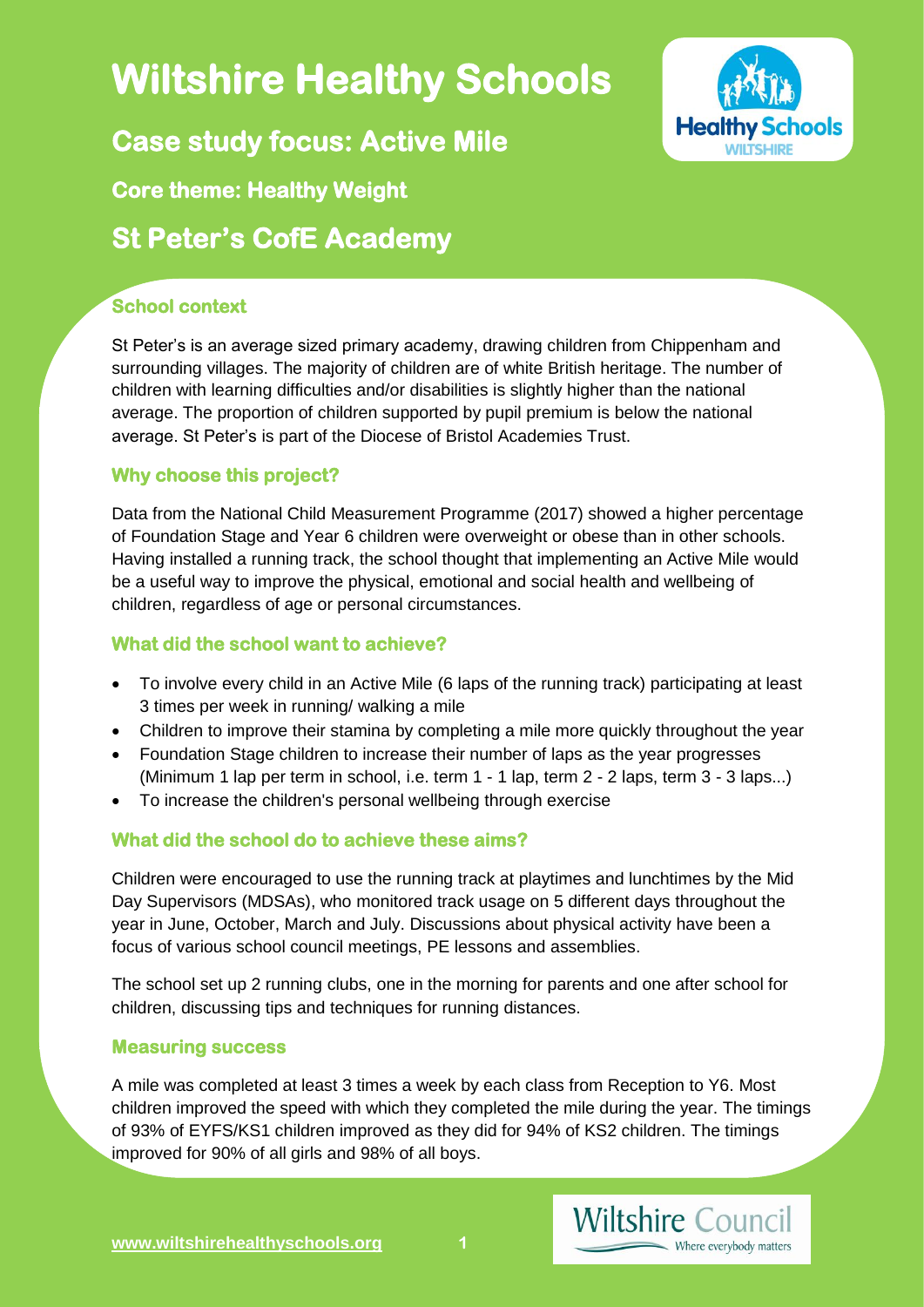# **Wiltshire Healthy Schools**

**Healthy Schools** 

**Case study focus: Active Mile** 

## **Core theme: Healthy Weight**

## **St Peter's CofE Academy**

### **School context**

St Peter's is an average sized primary academy, drawing children from Chippenham and surrounding villages. The majority of children are of white British heritage. The number of children with learning difficulties and/or disabilities is slightly higher than the national average. The proportion of children supported by pupil premium is below the national average. St Peter's is part of the Diocese of Bristol Academies Trust.

#### **Why choose this project?**

Data from the National Child Measurement Programme (2017) showed a higher percentage of Foundation Stage and Year 6 children were overweight or obese than in other schools. Having installed a running track, the school thought that implementing an Active Mile would be a useful way to improve the physical, emotional and social health and wellbeing of children, regardless of age or personal circumstances.

#### **What did the school want to achieve?**

- To involve every child in an Active Mile (6 laps of the running track) participating at least 3 times per week in running/ walking a mile
- Children to improve their stamina by completing a mile more quickly throughout the year
- Foundation Stage children to increase their number of laps as the year progresses (Minimum 1 lap per term in school, i.e. term 1 - 1 lap, term 2 - 2 laps, term 3 - 3 laps...)
- To increase the children's personal wellbeing through exercise

#### **What did the school do to achieve these aims?**

Children were encouraged to use the running track at playtimes and lunchtimes by the Mid Day Supervisors (MDSAs), who monitored track usage on 5 different days throughout the year in June, October, March and July. Discussions about physical activity have been a focus of various school council meetings, PE lessons and assemblies.

The school set up 2 running clubs, one in the morning for parents and one after school for children, discussing tips and techniques for running distances.

#### **Measuring success**

A mile was completed at least 3 times a week by each class from Reception to Y6. Most children improved the speed with which they completed the mile during the year. The timings of 93% of EYFS/KS1 children improved as they did for 94% of KS2 children. The timings improved for 90% of all girls and 98% of all boys.